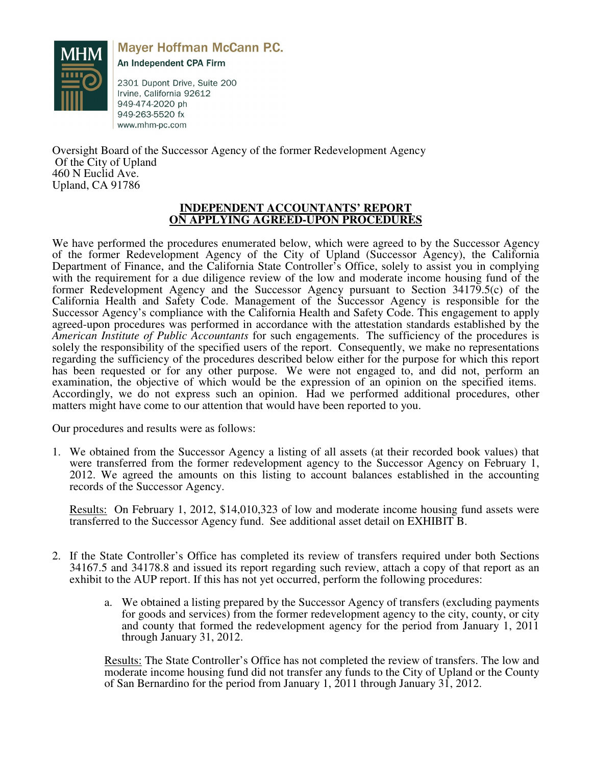

**Mayer Hoffman McCann P.C.** 

An Independent CPA Firm

2301 Dupont Drive, Suite 200 Irvine, California 92612 949-474-2020 ph 949-263-5520 fx www.mhm-pc.com

Oversight Board of the Successor Agency of the former Redevelopment Agency Of the City of Upland 460 N Euclid Ave. Upland, CA 91786

# **INDEPENDENT ACCOUNTANTS' REPORT ON APPLYING AGREED-UPON PROCEDURES**

We have performed the procedures enumerated below, which were agreed to by the Successor Agency of the former Redevelopment Agency of the City of Upland (Successor Agency), the California Department of Finance, and the California State Controller's Office, solely to assist you in complying with the requirement for a due diligence review of the low and moderate income housing fund of the former Redevelopment Agency and the Successor Agency pursuant to Section 34179.5(c) of the California Health and Safety Code. Management of the Successor Agency is responsible for the Successor Agency's compliance with the California Health and Safety Code. This engagement to apply agreed-upon procedures was performed in accordance with the attestation standards established by the *American Institute of Public Accountants* for such engagements. The sufficiency of the procedures is solely the responsibility of the specified users of the report. Consequently, we make no representations regarding the sufficiency of the procedures described below either for the purpose for which this report has been requested or for any other purpose. We were not engaged to, and did not, perform an examination, the objective of which would be the expression of an opinion on the specified items. Accordingly, we do not express such an opinion. Had we performed additional procedures, other matters might have come to our attention that would have been reported to you.

Our procedures and results were as follows:

1. We obtained from the Successor Agency a listing of all assets (at their recorded book values) that were transferred from the former redevelopment agency to the Successor Agency on February 1, 2012. We agreed the amounts on this listing to account balances established in the accounting records of the Successor Agency.

Results: On February 1, 2012, \$14,010,323 of low and moderate income housing fund assets were transferred to the Successor Agency fund. See additional asset detail on EXHIBIT B.

- 2. If the State Controller's Office has completed its review of transfers required under both Sections 34167.5 and 34178.8 and issued its report regarding such review, attach a copy of that report as an exhibit to the AUP report. If this has not yet occurred, perform the following procedures:
	- a. We obtained a listing prepared by the Successor Agency of transfers (excluding payments for goods and services) from the former redevelopment agency to the city, county, or city and county that formed the redevelopment agency for the period from January 1, 2011 through January 31, 2012.

Results: The State Controller's Office has not completed the review of transfers. The low and moderate income housing fund did not transfer any funds to the City of Upland or the County of San Bernardino for the period from January 1, 2011 through January 31, 2012.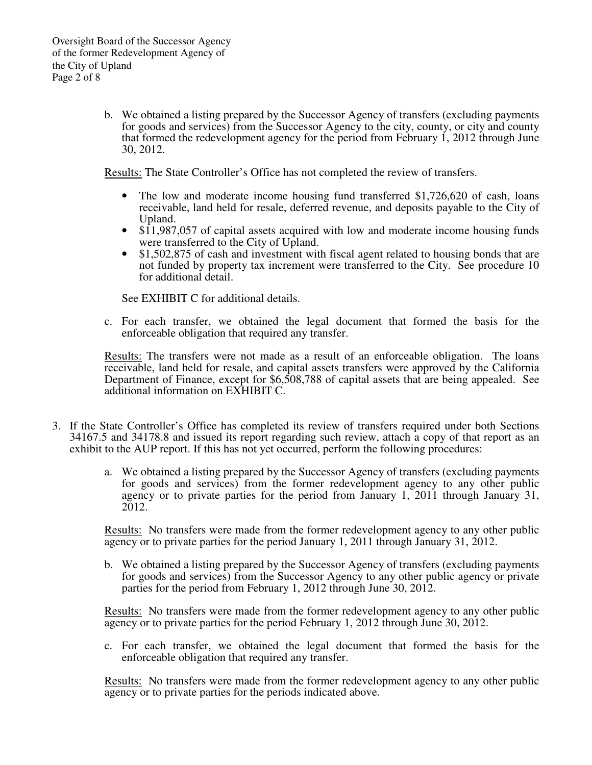b. We obtained a listing prepared by the Successor Agency of transfers (excluding payments for goods and services) from the Successor Agency to the city, county, or city and county that formed the redevelopment agency for the period from February 1, 2012 through June 30, 2012.

Results: The State Controller's Office has not completed the review of transfers.

- The low and moderate income housing fund transferred \$1,726,620 of cash, loans receivable, land held for resale, deferred revenue, and deposits payable to the City of Upland.
- \$11,987,057 of capital assets acquired with low and moderate income housing funds were transferred to the City of Upland.
- \$1,502,875 of cash and investment with fiscal agent related to housing bonds that are not funded by property tax increment were transferred to the City. See procedure 10 for additional detail.

See EXHIBIT C for additional details.

c. For each transfer, we obtained the legal document that formed the basis for the enforceable obligation that required any transfer.

Results: The transfers were not made as a result of an enforceable obligation. The loans receivable, land held for resale, and capital assets transfers were approved by the California Department of Finance, except for \$6,508,788 of capital assets that are being appealed. See additional information on EXHIBIT C.

- 3. If the State Controller's Office has completed its review of transfers required under both Sections 34167.5 and 34178.8 and issued its report regarding such review, attach a copy of that report as an exhibit to the AUP report. If this has not yet occurred, perform the following procedures:
	- a. We obtained a listing prepared by the Successor Agency of transfers (excluding payments for goods and services) from the former redevelopment agency to any other public agency or to private parties for the period from January 1, 2011 through January 31, 2012.

Results: No transfers were made from the former redevelopment agency to any other public agency or to private parties for the period January 1, 2011 through January 31, 2012.

b. We obtained a listing prepared by the Successor Agency of transfers (excluding payments for goods and services) from the Successor Agency to any other public agency or private parties for the period from February 1, 2012 through June 30, 2012.

Results: No transfers were made from the former redevelopment agency to any other public agency or to private parties for the period February 1, 2012 through June 30, 2012.

c. For each transfer, we obtained the legal document that formed the basis for the enforceable obligation that required any transfer.

Results: No transfers were made from the former redevelopment agency to any other public agency or to private parties for the periods indicated above.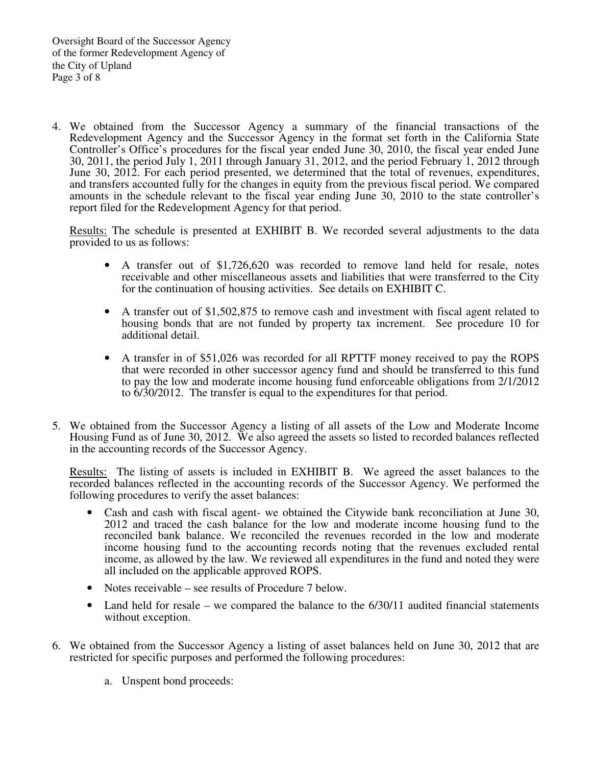4. We obtained from the Successor Agency a summary of the financial transactions of the Redevelopment Agency and the Successor Agency in the format set forth in the California State Controller's Office's procedures for the fiscal year ended June 30, 2010, the fiscal year ended June 30, 2011, the period July 1, 2011 through January 31, 2012, and the period February 1, 2012 through June 30, 2012. For each period presented, we determined that the total of revenues, expenditures, and transfers accounted fully for the changes in equity from the previous fiscal period. We compared amounts in the schedule relevant to the fiscal year ending June 30, 2010 to the state controller's report filed for the Redevelopment Agency for that period.

Results: The schedule is presented at EXHIBIT B. We recorded several adjustments to the data provided to us as follows:

- A transfer out of \$1,726,620 was recorded to remove land held for resale, notes receivable and other miscellaneous assets and liabilities that were transferred to the City for the continuation of housing activities. See details on EXHIBIT C.
- A transfer out of \$1,502,875 to remove cash and investment with fiscal agent related to housing bonds that are not funded by property tax increment. See procedure 10 for additional detail.
- A transfer in of \$51,026 was recorded for all RPTTF money received to pay the ROPS that were recorded in other successor agency fund and should be transferred to this fund to pay the low and moderate income housing fund enforceable obligations from 2/1/2012 to 6/30/2012. The transfer is equal to the expenditures for that period.
- 5. We obtained from the Successor Agency a listing of all assets of the Low and Moderate Income Housing Fund as of June 30, 2012. We also agreed the assets so listed to recorded balances reflected in the accounting records of the Successor Agency.

Results: The listing of assets is included in EXHIBIT B. We agreed the asset balances to the recorded balances reflected in the accounting records of the Successor Agency. We performed the following procedures to verify the asset balances:

- Cash and cash with fiscal agent- we obtained the Citywide bank reconciliation at June 30, 2012 and traced the cash balance for the low and moderate income housing fund to the reconciled bank balance. We reconciled the revenues recorded in the low and moderate income housing fund to the accounting records noting that the revenues excluded rental income, as allowed by the law. We reviewed all expenditures in the fund and noted they were all included on the applicable approved ROPS.
- Notes receivable see results of Procedure 7 below.
- Land held for resale we compared the balance to the 6/30/11 audited financial statements without exception.
- 6. We obtained from the Successor Agency a listing of asset balances held on June 30, 2012 that are restricted for specific purposes and performed the following procedures:
	- a. Unspent bond proceeds: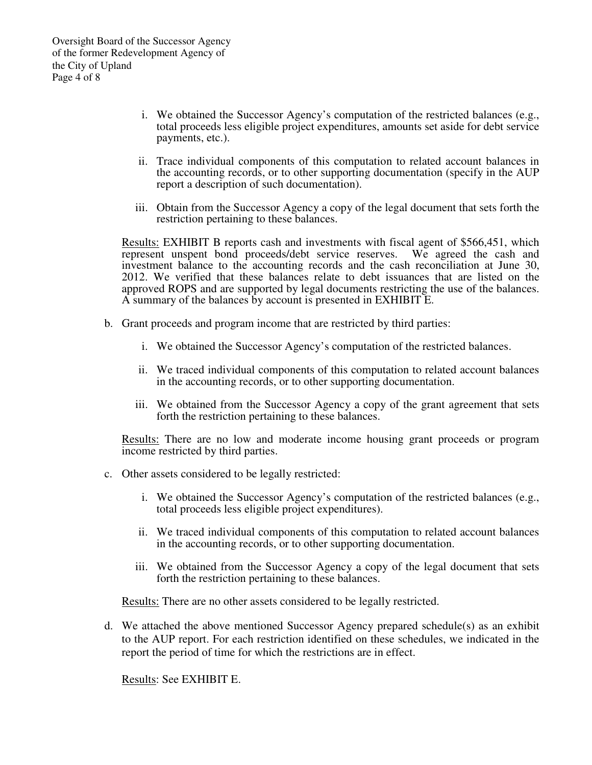- i. We obtained the Successor Agency's computation of the restricted balances (e.g., total proceeds less eligible project expenditures, amounts set aside for debt service payments, etc.).
- ii. Trace individual components of this computation to related account balances in the accounting records, or to other supporting documentation (specify in the AUP report a description of such documentation).
- iii. Obtain from the Successor Agency a copy of the legal document that sets forth the restriction pertaining to these balances.

Results: EXHIBIT B reports cash and investments with fiscal agent of \$566,451, which represent unspent bond proceeds/debt service reserves. We agreed the cash and investment balance to the accounting records and the cash reconciliation at June 30, 2012. We verified that these balances relate to debt issuances that are listed on the approved ROPS and are supported by legal documents restricting the use of the balances. A summary of the balances by account is presented in EXHIBIT E.

- b. Grant proceeds and program income that are restricted by third parties:
	- i. We obtained the Successor Agency's computation of the restricted balances.
	- ii. We traced individual components of this computation to related account balances in the accounting records, or to other supporting documentation.
	- iii. We obtained from the Successor Agency a copy of the grant agreement that sets forth the restriction pertaining to these balances.

Results: There are no low and moderate income housing grant proceeds or program income restricted by third parties.

- c. Other assets considered to be legally restricted:
	- i. We obtained the Successor Agency's computation of the restricted balances (e.g., total proceeds less eligible project expenditures).
	- ii. We traced individual components of this computation to related account balances in the accounting records, or to other supporting documentation.
	- iii. We obtained from the Successor Agency a copy of the legal document that sets forth the restriction pertaining to these balances.

Results: There are no other assets considered to be legally restricted.

d. We attached the above mentioned Successor Agency prepared schedule(s) as an exhibit to the AUP report. For each restriction identified on these schedules, we indicated in the report the period of time for which the restrictions are in effect.

Results: See EXHIBIT E.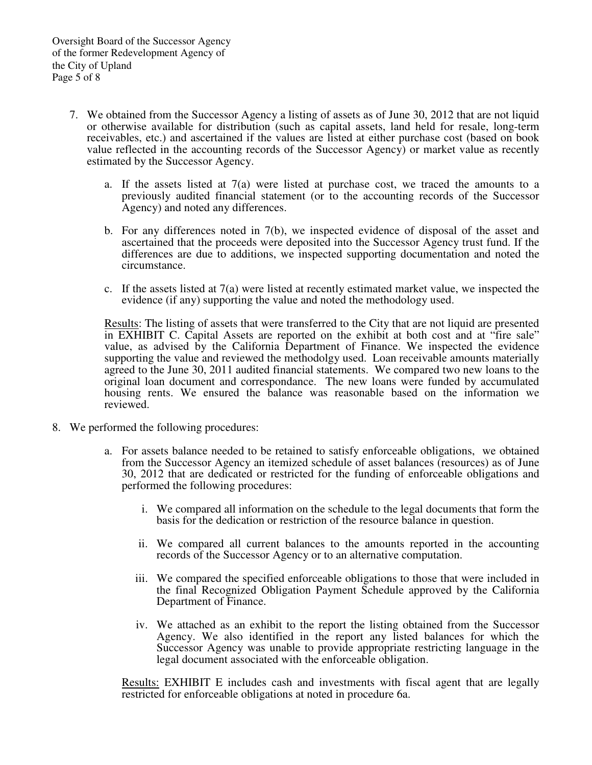- 7. We obtained from the Successor Agency a listing of assets as of June 30, 2012 that are not liquid or otherwise available for distribution (such as capital assets, land held for resale, long-term receivables, etc.) and ascertained if the values are listed at either purchase cost (based on book value reflected in the accounting records of the Successor Agency) or market value as recently estimated by the Successor Agency.
	- a. If the assets listed at  $7(a)$  were listed at purchase cost, we traced the amounts to a previously audited financial statement (or to the accounting records of the Successor Agency) and noted any differences.
	- b. For any differences noted in 7(b), we inspected evidence of disposal of the asset and ascertained that the proceeds were deposited into the Successor Agency trust fund. If the differences are due to additions, we inspected supporting documentation and noted the circumstance.
	- c. If the assets listed at  $7(a)$  were listed at recently estimated market value, we inspected the evidence (if any) supporting the value and noted the methodology used.

Results: The listing of assets that were transferred to the City that are not liquid are presented in EXHIBIT C. Capital Assets are reported on the exhibit at both cost and at "fire sale" value, as advised by the California Department of Finance. We inspected the evidence supporting the value and reviewed the methodolgy used. Loan receivable amounts materially agreed to the June 30, 2011 audited financial statements. We compared two new loans to the original loan document and correspondance. The new loans were funded by accumulated housing rents. We ensured the balance was reasonable based on the information we reviewed.

- 8. We performed the following procedures:
	- a. For assets balance needed to be retained to satisfy enforceable obligations, we obtained from the Successor Agency an itemized schedule of asset balances (resources) as of June 30, 2012 that are dedicated or restricted for the funding of enforceable obligations and performed the following procedures:
		- i. We compared all information on the schedule to the legal documents that form the basis for the dedication or restriction of the resource balance in question.
		- ii. We compared all current balances to the amounts reported in the accounting records of the Successor Agency or to an alternative computation.
		- iii. We compared the specified enforceable obligations to those that were included in the final Recognized Obligation Payment Schedule approved by the California Department of Finance.
		- iv. We attached as an exhibit to the report the listing obtained from the Successor Agency. We also identified in the report any listed balances for which the Successor Agency was unable to provide appropriate restricting language in the legal document associated with the enforceable obligation.

Results: EXHIBIT E includes cash and investments with fiscal agent that are legally restricted for enforceable obligations at noted in procedure 6a.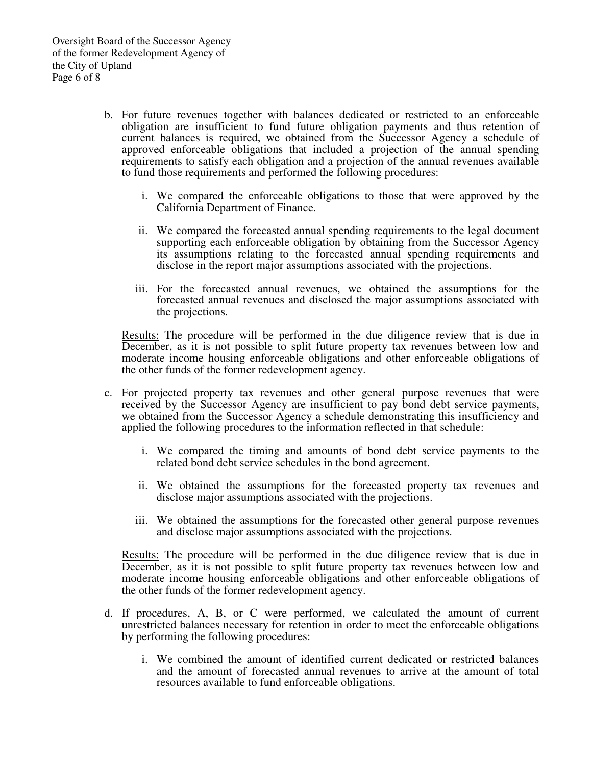- b. For future revenues together with balances dedicated or restricted to an enforceable obligation are insufficient to fund future obligation payments and thus retention of current balances is required, we obtained from the Successor Agency a schedule of approved enforceable obligations that included a projection of the annual spending requirements to satisfy each obligation and a projection of the annual revenues available to fund those requirements and performed the following procedures:
	- i. We compared the enforceable obligations to those that were approved by the California Department of Finance.
	- ii. We compared the forecasted annual spending requirements to the legal document supporting each enforceable obligation by obtaining from the Successor Agency its assumptions relating to the forecasted annual spending requirements and disclose in the report major assumptions associated with the projections.
	- iii. For the forecasted annual revenues, we obtained the assumptions for the forecasted annual revenues and disclosed the major assumptions associated with the projections.

Results: The procedure will be performed in the due diligence review that is due in December, as it is not possible to split future property tax revenues between low and moderate income housing enforceable obligations and other enforceable obligations of the other funds of the former redevelopment agency.

- c. For projected property tax revenues and other general purpose revenues that were received by the Successor Agency are insufficient to pay bond debt service payments, we obtained from the Successor Agency a schedule demonstrating this insufficiency and applied the following procedures to the information reflected in that schedule:
	- i. We compared the timing and amounts of bond debt service payments to the related bond debt service schedules in the bond agreement.
	- ii. We obtained the assumptions for the forecasted property tax revenues and disclose major assumptions associated with the projections.
	- iii. We obtained the assumptions for the forecasted other general purpose revenues and disclose major assumptions associated with the projections.

Results: The procedure will be performed in the due diligence review that is due in December, as it is not possible to split future property tax revenues between low and moderate income housing enforceable obligations and other enforceable obligations of the other funds of the former redevelopment agency.

- d. If procedures, A, B, or C were performed, we calculated the amount of current unrestricted balances necessary for retention in order to meet the enforceable obligations by performing the following procedures:
	- i. We combined the amount of identified current dedicated or restricted balances and the amount of forecasted annual revenues to arrive at the amount of total resources available to fund enforceable obligations.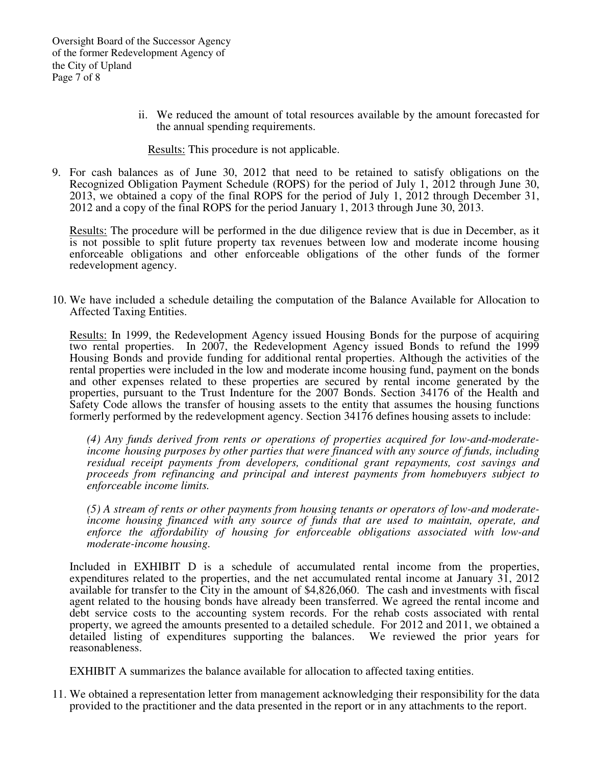ii. We reduced the amount of total resources available by the amount forecasted for the annual spending requirements.

Results: This procedure is not applicable.

9. For cash balances as of June 30, 2012 that need to be retained to satisfy obligations on the Recognized Obligation Payment Schedule (ROPS) for the period of July 1, 2012 through June 30, 2013, we obtained a copy of the final ROPS for the period of July 1, 2012 through December 31, 2012 and a copy of the final ROPS for the period January 1, 2013 through June 30, 2013.

Results: The procedure will be performed in the due diligence review that is due in December, as it is not possible to split future property tax revenues between low and moderate income housing enforceable obligations and other enforceable obligations of the other funds of the former redevelopment agency.

10. We have included a schedule detailing the computation of the Balance Available for Allocation to Affected Taxing Entities.

Results: In 1999, the Redevelopment Agency issued Housing Bonds for the purpose of acquiring two rental properties. In 2007, the Redevelopment Agency issued Bonds to refund the 1999 Housing Bonds and provide funding for additional rental properties. Although the activities of the rental properties were included in the low and moderate income housing fund, payment on the bonds and other expenses related to these properties are secured by rental income generated by the properties, pursuant to the Trust Indenture for the 2007 Bonds. Section 34176 of the Health and Safety Code allows the transfer of housing assets to the entity that assumes the housing functions formerly performed by the redevelopment agency. Section 34176 defines housing assets to include:

*(4) Any funds derived from rents or operations of properties acquired for low-and-moderateincome housing purposes by other parties that were financed with any source of funds, including residual receipt payments from developers, conditional grant repayments, cost savings and proceeds from refinancing and principal and interest payments from homebuyers subject to enforceable income limits.* 

*(5) A stream of rents or other payments from housing tenants or operators of low-and moderateincome housing financed with any source of funds that are used to maintain, operate, and enforce the affordability of housing for enforceable obligations associated with low-and moderate-income housing.* 

Included in EXHIBIT D is a schedule of accumulated rental income from the properties, expenditures related to the properties, and the net accumulated rental income at January 31, 2012 available for transfer to the City in the amount of \$4,826,060. The cash and investments with fiscal agent related to the housing bonds have already been transferred. We agreed the rental income and debt service costs to the accounting system records. For the rehab costs associated with rental property, we agreed the amounts presented to a detailed schedule. For 2012 and 2011, we obtained a detailed listing of expenditures supporting the balances. We reviewed the prior years for reasonableness.

EXHIBIT A summarizes the balance available for allocation to affected taxing entities.

11. We obtained a representation letter from management acknowledging their responsibility for the data provided to the practitioner and the data presented in the report or in any attachments to the report.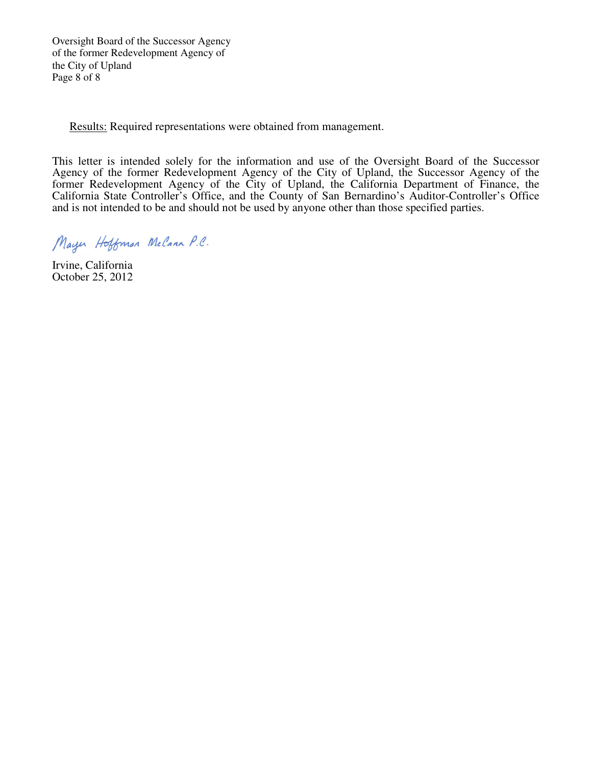Oversight Board of the Successor Agency of the former Redevelopment Agency of the City of Upland Page 8 of 8

Results: Required representations were obtained from management.

This letter is intended solely for the information and use of the Oversight Board of the Successor Agency of the former Redevelopment Agency of the City of Upland, the Successor Agency of the former Redevelopment Agency of the City of Upland, the California Department of Finance, the California State Controller's Office, and the County of San Bernardino's Auditor-Controller's Office and is not intended to be and should not be used by anyone other than those specified parties.

Mayer Hoffman McCann P.C.

Irvine, California October 25, 2012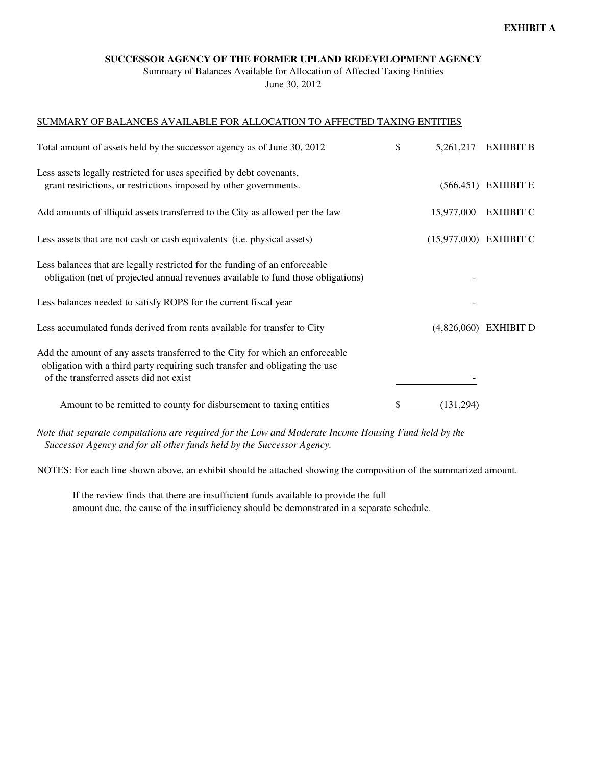## **SUCCESSOR AGENCY OF THE FORMER UPLAND REDEVELOPMENT AGENCY**

Summary of Balances Available for Allocation of Affected Taxing Entities June 30, 2012

## SUMMARY OF BALANCES AVAILABLE FOR ALLOCATION TO AFFECTED TAXING ENTITIES

| Total amount of assets held by the successor agency as of June 30, 2012                                                                                                                                  | \$<br>5,261,217          | <b>EXHIBIT B</b>        |
|----------------------------------------------------------------------------------------------------------------------------------------------------------------------------------------------------------|--------------------------|-------------------------|
| Less assets legally restricted for uses specified by debt covenants,<br>grant restrictions, or restrictions imposed by other governments.                                                                |                          | $(566, 451)$ EXHIBIT E  |
| Add amounts of illiquid assets transferred to the City as allowed per the law                                                                                                                            | 15,977,000               | <b>EXHIBIT C</b>        |
| Less assets that are not cash or cash equivalents (i.e. physical assets)                                                                                                                                 | $(15,977,000)$ EXHIBIT C |                         |
| Less balances that are legally restricted for the funding of an enforceable<br>obligation (net of projected annual revenues available to fund those obligations)                                         |                          |                         |
| Less balances needed to satisfy ROPS for the current fiscal year                                                                                                                                         |                          |                         |
| Less accumulated funds derived from rents available for transfer to City                                                                                                                                 |                          | $(4,826,060)$ EXHIBIT D |
| Add the amount of any assets transferred to the City for which an enforceable<br>obligation with a third party requiring such transfer and obligating the use<br>of the transferred assets did not exist |                          |                         |
| Amount to be remitted to county for disbursement to taxing entities                                                                                                                                      | \$<br>(131, 294)         |                         |

*Note that separate computations are required for the Low and Moderate Income Housing Fund held by the Successor Agency and for all other funds held by the Successor Agency.*

NOTES: For each line shown above, an exhibit should be attached showing the composition of the summarized amount.

 If the review finds that there are insufficient funds available to provide the full amount due, the cause of the insufficiency should be demonstrated in a separate schedule.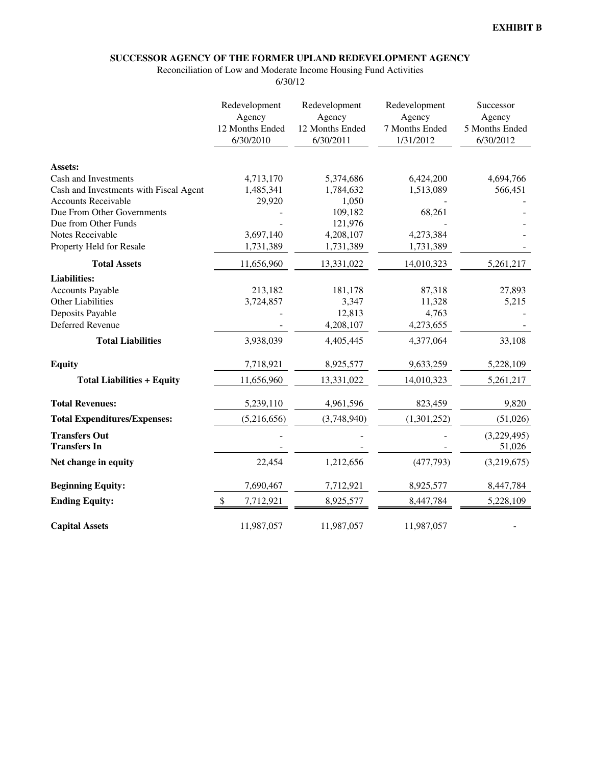# **SUCCESSOR AGENCY OF THE FORMER UPLAND REDEVELOPMENT AGENCY**

Reconciliation of Low and Moderate Income Housing Fund Activities

6/30/12

|                                             | Redevelopment<br>Agency<br>12 Months Ended<br>6/30/2010 | Redevelopment<br>Agency<br>12 Months Ended<br>6/30/2011 | Redevelopment<br>Agency<br>7 Months Ended<br>1/31/2012 | Successor<br>Agency<br>5 Months Ended<br>6/30/2012 |
|---------------------------------------------|---------------------------------------------------------|---------------------------------------------------------|--------------------------------------------------------|----------------------------------------------------|
| Assets:                                     |                                                         |                                                         |                                                        |                                                    |
| Cash and Investments                        | 4,713,170                                               | 5,374,686                                               | 6,424,200                                              | 4,694,766                                          |
| Cash and Investments with Fiscal Agent      | 1,485,341                                               | 1,784,632                                               | 1,513,089                                              | 566,451                                            |
| <b>Accounts Receivable</b>                  | 29,920                                                  | 1,050                                                   |                                                        |                                                    |
| Due From Other Governments                  |                                                         | 109,182                                                 | 68,261                                                 |                                                    |
| Due from Other Funds                        |                                                         | 121,976                                                 |                                                        |                                                    |
| Notes Receivable                            | 3,697,140                                               | 4,208,107                                               | 4,273,384                                              |                                                    |
| Property Held for Resale                    | 1,731,389                                               | 1,731,389                                               | 1,731,389                                              |                                                    |
| <b>Total Assets</b>                         | 11,656,960                                              | 13,331,022                                              | 14,010,323                                             | 5,261,217                                          |
| <b>Liabilities:</b>                         |                                                         |                                                         |                                                        |                                                    |
| <b>Accounts Payable</b>                     | 213,182                                                 | 181,178                                                 | 87,318                                                 | 27,893                                             |
| <b>Other Liabilities</b>                    | 3,724,857                                               | 3,347                                                   | 11,328                                                 | 5,215                                              |
| Deposits Payable                            |                                                         | 12,813                                                  | 4,763                                                  |                                                    |
| Deferred Revenue                            |                                                         | 4,208,107                                               | 4,273,655                                              |                                                    |
| <b>Total Liabilities</b>                    | 3,938,039                                               | 4,405,445                                               | 4,377,064                                              | 33,108                                             |
| <b>Equity</b>                               | 7,718,921                                               | 8,925,577                                               | 9,633,259                                              | 5,228,109                                          |
| <b>Total Liabilities + Equity</b>           | 11,656,960                                              | 13,331,022                                              | 14,010,323                                             | 5,261,217                                          |
| <b>Total Revenues:</b>                      | 5,239,110                                               | 4,961,596                                               | 823,459                                                | 9,820                                              |
| <b>Total Expenditures/Expenses:</b>         | (5,216,656)                                             | (3,748,940)                                             | (1,301,252)                                            | (51,026)                                           |
| <b>Transfers Out</b><br><b>Transfers In</b> |                                                         |                                                         |                                                        | (3,229,495)<br>51,026                              |
| Net change in equity                        | 22,454                                                  | 1,212,656                                               | (477, 793)                                             | (3,219,675)                                        |
| <b>Beginning Equity:</b>                    | 7,690,467                                               | 7,712,921                                               | 8,925,577                                              | 8,447,784                                          |
| <b>Ending Equity:</b>                       | \$<br>7,712,921                                         | 8,925,577                                               | 8,447,784                                              | 5,228,109                                          |
| <b>Capital Assets</b>                       | 11,987,057                                              | 11,987,057                                              | 11,987,057                                             |                                                    |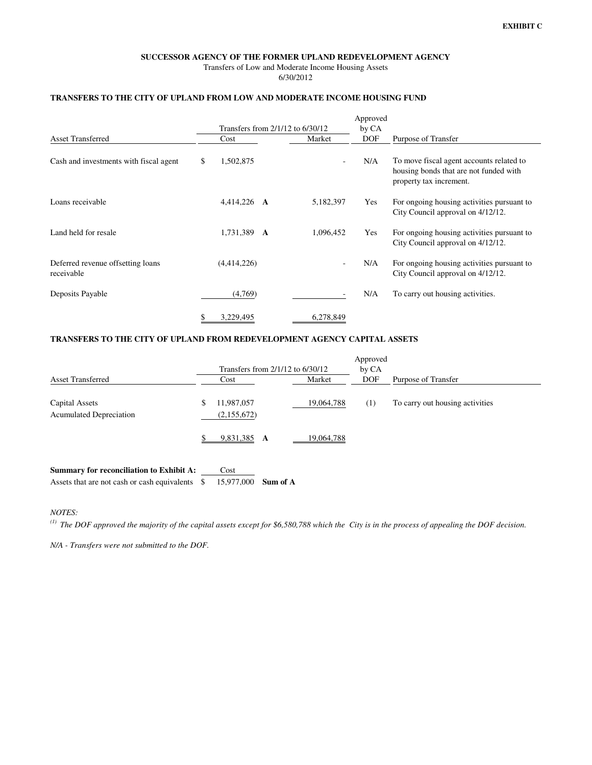#### **SUCCESSOR AGENCY OF THE FORMER UPLAND REDEVELOPMENT AGENCY**

Transfers of Low and Moderate Income Housing Assets 6/30/2012

### **TRANSFERS TO THE CITY OF UPLAND FROM LOW AND MODERATE INCOME HOUSING FUND**

|                                                 |    |             |                                  | Approved   |                                                                                                               |  |  |
|-------------------------------------------------|----|-------------|----------------------------------|------------|---------------------------------------------------------------------------------------------------------------|--|--|
|                                                 |    |             | Transfers from 2/1/12 to 6/30/12 | by CA      |                                                                                                               |  |  |
| <b>Asset Transferred</b>                        |    | Cost        | Market                           | <b>DOF</b> | Purpose of Transfer                                                                                           |  |  |
| Cash and investments with fiscal agent          | S  | 1,502,875   | $\overline{\phantom{a}}$         | N/A        | To move fiscal agent accounts related to<br>housing bonds that are not funded with<br>property tax increment. |  |  |
| Loans receivable                                |    | 4,414,226 A | 5,182,397                        | Yes        | For ongoing housing activities pursuant to<br>City Council approval on 4/12/12.                               |  |  |
| Land held for resale                            |    | 1,731,389 A | 1,096,452                        | Yes        | For ongoing housing activities pursuant to<br>City Council approval on 4/12/12.                               |  |  |
| Deferred revenue offsetting loans<br>receivable |    | (4,414,226) |                                  | N/A        | For ongoing housing activities pursuant to<br>City Council approval on 4/12/12.                               |  |  |
| Deposits Payable                                |    | (4,769)     |                                  | N/A        | To carry out housing activities.                                                                              |  |  |
|                                                 | \$ | 3,229,495   | 6,278,849                        |            |                                                                                                               |  |  |

## **TRANSFERS TO THE CITY OF UPLAND FROM REDEVELOPMENT AGENCY CAPITAL ASSETS**

|                                                  | Transfers from $2/1/12$ to $6/30/12$ |            | Approved<br>by CA |                                 |  |  |  |
|--------------------------------------------------|--------------------------------------|------------|-------------------|---------------------------------|--|--|--|
| <b>Asset Transferred</b>                         | Cost                                 | Market     | <b>DOF</b>        | Purpose of Transfer             |  |  |  |
| Capital Assets<br><b>Acumulated Depreciation</b> | 11,987,057<br>(2,155,672)            | 19,064,788 | $^{(1)}$          | To carry out housing activities |  |  |  |
|                                                  | 9,831,385 A                          | 19,064,788 |                   |                                 |  |  |  |

| <b>Summary for reconciliation to Exhibit A:</b> | Cost                |  |
|-------------------------------------------------|---------------------|--|
|                                                 | 15.977.000 Sum of A |  |

*NOTES:* 

*(1) The DOF approved the majority of the capital assets except for \$6,580,788 which the City is in the process of appealing the DOF decision.*

*N/A - Transfers were not submitted to the DOF.*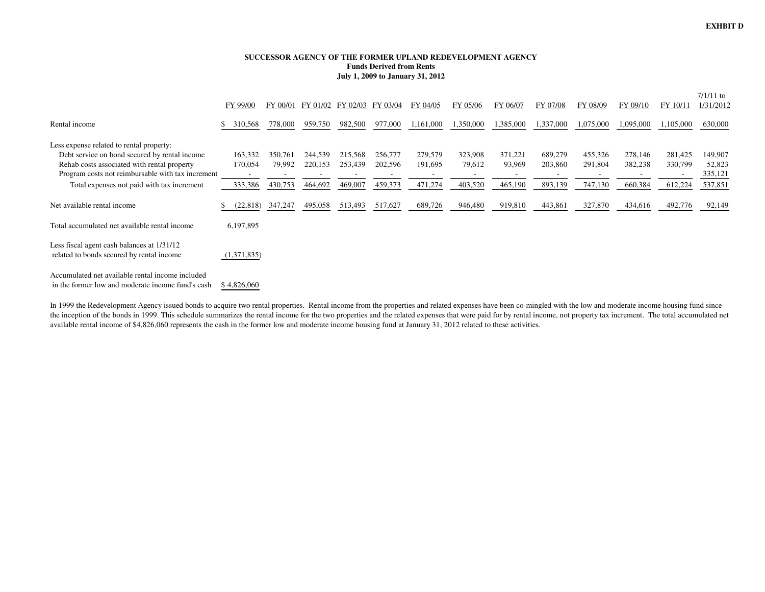#### **SUCCESSOR AGENCY OF THE FORMER UPLAND REDEVELOPMENT AGENCYFunds Derived from RentsJuly 1, 2009 to January 31, 2012**

|                                                                                                                                                                                                                                             | FY 99/00                      | FY 00/01                     | FY 01/02                      | FY 02/03                      | FY 03/04                                                  | FY 04/05                      | FY 05/06                                                 | FY 06/07                     | FY 07/08                                                  | FY 08/09                      | FY 09/10                      | FY 10/1                                                   | $7/1/11$ to<br>1/31/2012                |
|---------------------------------------------------------------------------------------------------------------------------------------------------------------------------------------------------------------------------------------------|-------------------------------|------------------------------|-------------------------------|-------------------------------|-----------------------------------------------------------|-------------------------------|----------------------------------------------------------|------------------------------|-----------------------------------------------------------|-------------------------------|-------------------------------|-----------------------------------------------------------|-----------------------------------------|
| Rental income                                                                                                                                                                                                                               | 310,568                       | 778,000                      | 959,750                       | 982,500                       | 977,000                                                   | 1,161,000                     | 1,350,000                                                | 1,385,000                    | ,337,000                                                  | 1,075,000                     | 1,095,000                     | 1,105,000                                                 | 630,000                                 |
| Less expense related to rental property:<br>Debt service on bond secured by rental income<br>Rehab costs associated with rental property<br>Program costs not reimbursable with tax increment<br>Total expenses not paid with tax increment | 163,332<br>170,054<br>333,386 | 350,761<br>79,992<br>430,753 | 244,539<br>220,153<br>464,692 | 215,568<br>253,439<br>469,007 | 256,777<br>202,596<br>$\overline{\phantom{a}}$<br>459,373 | 279,579<br>191,695<br>471,274 | 323,908<br>79,612<br>$\overline{\phantom{a}}$<br>403,520 | 371,221<br>93,969<br>465,190 | 689,279<br>203,860<br>$\overline{\phantom{a}}$<br>893,139 | 455,326<br>291,804<br>747,130 | 278,146<br>382,238<br>660,384 | 281,425<br>330,799<br>$\overline{\phantom{a}}$<br>612,224 | 149,907<br>52,823<br>335,121<br>537,851 |
| Net available rental income                                                                                                                                                                                                                 | (22, 818)                     | 347,247                      | 495,058                       | 513,493                       | 517,627                                                   | 689,726                       | 946,480                                                  | 919,810                      | 443,861                                                   | 327,870                       | 434,616                       | 492,776                                                   | 92,149                                  |
| Total accumulated net available rental income                                                                                                                                                                                               | 6,197,895                     |                              |                               |                               |                                                           |                               |                                                          |                              |                                                           |                               |                               |                                                           |                                         |
| Less fiscal agent cash balances at 1/31/12<br>related to bonds secured by rental income                                                                                                                                                     | (1,371,835)                   |                              |                               |                               |                                                           |                               |                                                          |                              |                                                           |                               |                               |                                                           |                                         |
| Accumulated net available rental income included<br>in the former low and moderate income fund's cash                                                                                                                                       | \$4,826,060                   |                              |                               |                               |                                                           |                               |                                                          |                              |                                                           |                               |                               |                                                           |                                         |

In 1999 the Redevelopment Agency issued bonds to acquire two rental properties. Rental income from the properties and related expenses have been co-mingled with the low and moderate income housing fund since the inception of the bonds in 1999. This schedule summarizes the rental income for the two properties and the related expenses that were paid for by rental income, not property tax increment. The total accumulated net available rental income of \$4,826,060 represents the cash in the former low and moderate income housing fund at January 31, 2012 related to these activities.